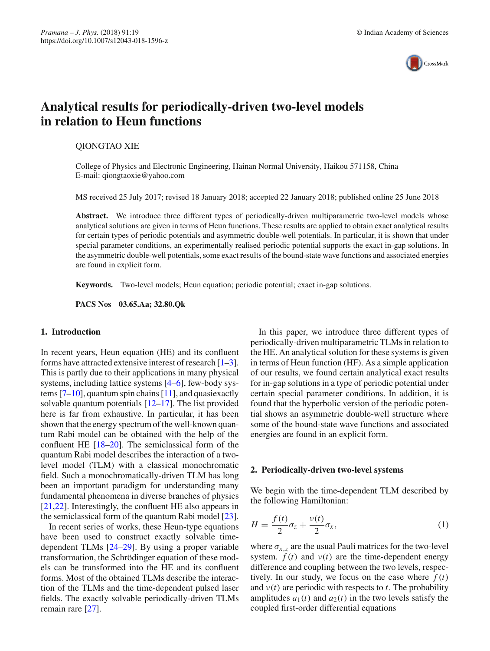

# **Analytical results for periodically-driven two-level models in relation to Heun functions**

## QIONGTAO XIE

College of Physics and Electronic Engineering, Hainan Normal University, Haikou 571158, China E-mail: qiongtaoxie@yahoo.com

MS received 25 July 2017; revised 18 January 2018; accepted 22 January 2018; published online 25 June 2018

**Abstract.** We introduce three different types of periodically-driven multiparametric two-level models whose analytical solutions are given in terms of Heun functions. These results are applied to obtain exact analytical results for certain types of periodic potentials and asymmetric double-well potentials. In particular, it is shown that under special parameter conditions, an experimentally realised periodic potential supports the exact in-gap solutions. In the asymmetric double-well potentials, some exact results of the bound-state wave functions and associated energies are found in explicit form.

**Keywords.** Two-level models; Heun equation; periodic potential; exact in-gap solutions.

**PACS Nos 03.65.Aa; 32.80.Qk**

# **1. Introduction**

In recent years, Heun equation (HE) and its confluent forms have attracted extensive interest of research  $[1-3]$  $[1-3]$ . This is partly due to their applications in many physical systems, including lattice systems [\[4](#page-6-2)[–6\]](#page-6-3), few-body systems  $[7-10]$  $[7-10]$ , quantum spin chains  $[11]$  $[11]$ , and quasiexactly solvable quantum potentials [\[12](#page-6-7)[–17](#page-6-8)]. The list provided here is far from exhaustive. In particular, it has been shown that the energy spectrum of the well-known quantum Rabi model can be obtained with the help of the confluent HE [\[18](#page-6-9)[–20](#page-6-10)]. The semiclassical form of the quantum Rabi model describes the interaction of a twolevel model (TLM) with a classical monochromatic field. Such a monochromatically-driven TLM has long been an important paradigm for understanding many fundamental phenomena in diverse branches of physics [\[21](#page-6-11)[,22\]](#page-6-12). Interestingly, the confluent HE also appears in the semiclassical form of the quantum Rabi model [\[23](#page-6-13)].

In recent series of works, these Heun-type equations have been used to construct exactly solvable timedependent TLMs [\[24](#page-6-14)[–29](#page-6-15)]. By using a proper variable transformation, the Schrödinger equation of these models can be transformed into the HE and its confluent forms. Most of the obtained TLMs describe the interaction of the TLMs and the time-dependent pulsed laser fields. The exactly solvable periodically-driven TLMs remain rare [\[27](#page-6-16)].

In this paper, we introduce three different types of periodically-driven multiparametric TLMs in relation to the HE. An analytical solution for these systems is given in terms of Heun function (HF). As a simple application of our results, we found certain analytical exact results for in-gap solutions in a type of periodic potential under certain special parameter conditions. In addition, it is found that the hyperbolic version of the periodic potential shows an asymmetric double-well structure where some of the bound-state wave functions and associated energies are found in an explicit form.

## **2. Periodically-driven two-level systems**

We begin with the time-dependent TLM described by the following Hamiltonian:

$$
H = \frac{f(t)}{2}\sigma_z + \frac{v(t)}{2}\sigma_x,\tag{1}
$$

where  $\sigma_{x,z}$  are the usual Pauli matrices for the two-level system.  $f(t)$  and  $v(t)$  are the time-dependent energy difference and coupling between the two levels, respectively. In our study, we focus on the case where  $f(t)$ and  $v(t)$  are periodic with respects to *t*. The probability amplitudes  $a_1(t)$  and  $a_2(t)$  in the two levels satisfy the coupled first-order differential equations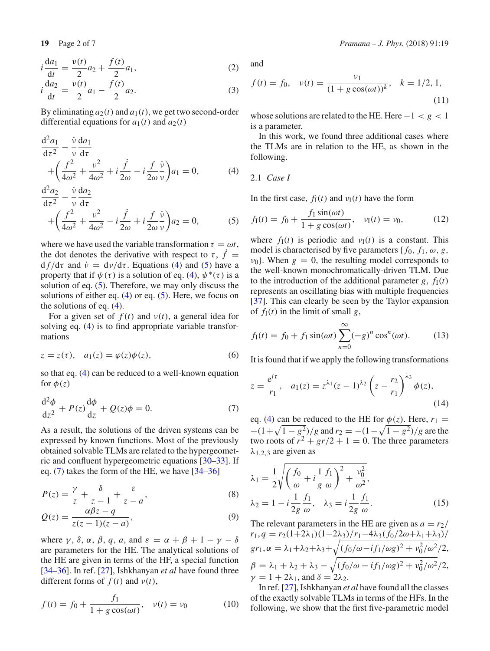$$
i\frac{da_1}{dt} = \frac{v(t)}{2}a_2 + \frac{f(t)}{2}a_1,
$$
 (2)

$$
i\frac{da_2}{dt} = \frac{v(t)}{2}a_1 - \frac{f(t)}{2}a_2.
$$
 (3)

By eliminating  $a_2(t)$  and  $a_1(t)$ , we get two second-order differential equations for  $a_1(t)$  and  $a_2(t)$ 

<span id="page-1-0"></span>
$$
\frac{\mathrm{d}^2 a_1}{\mathrm{d}\tau^2} - \frac{\dot{v}}{v} \frac{\mathrm{d}a_1}{\mathrm{d}\tau} + \left(\frac{f^2}{4\omega^2} + \frac{v^2}{4\omega^2} + i\frac{\dot{f}}{2\omega} - i\frac{f}{2\omega} \frac{\dot{v}}{v}\right) a_1 = 0, \tag{4}
$$

$$
\frac{\mathrm{d}^2 a_2}{\mathrm{d}\tau^2} - \frac{\dot{v}}{v} \frac{\mathrm{d} a_2}{\mathrm{d}\tau} \n+ \left( \frac{f^2}{4\omega^2} + \frac{v^2}{4\omega^2} - i \frac{\dot{f}}{2\omega} + i \frac{f}{2\omega} \frac{\dot{v}}{v} \right) a_2 = 0,
$$
\n(5)

where we have used the variable transformation  $\tau = \omega t$ , the dot denotes the derivative with respect to  $\tau$ ,  $\dot{f}$  =  $df/d\tau$  and  $\dot{v} = dv/d\tau$ . Equations [\(4\)](#page-1-0) and [\(5\)](#page-1-0) have a property that if  $\psi(\tau)$  is a solution of eq. [\(4\)](#page-1-0),  $\psi^*(\tau)$  is a solution of eq.  $(5)$ . Therefore, we may only discuss the solutions of either eq.  $(4)$  or eq.  $(5)$ . Here, we focus on the solutions of eq. [\(4\)](#page-1-0).

For a given set of  $f(t)$  and  $v(t)$ , a general idea for solving eq. [\(4\)](#page-1-0) is to find appropriate variable transformations

$$
z = z(\tau), \quad a_1(z) = \varphi(z)\phi(z), \tag{6}
$$

so that eq. [\(4\)](#page-1-0) can be reduced to a well-known equation for  $\phi(z)$ 

<span id="page-1-1"></span>
$$
\frac{\mathrm{d}^2 \phi}{\mathrm{d}z^2} + P(z)\frac{\mathrm{d}\phi}{\mathrm{d}z} + Q(z)\phi = 0.
$$
 (7)

As a result, the solutions of the driven systems can be expressed by known functions. Most of the previously obtained solvable TLMs are related to the hypergeometric and confluent hypergeometric equations [\[30](#page-6-17)[–33\]](#page-6-18). If eq. [\(7\)](#page-1-1) takes the form of the HE, we have [\[34](#page-6-19)[–36\]](#page-6-20)

$$
P(z) = \frac{\gamma}{z} + \frac{\delta}{z - 1} + \frac{\varepsilon}{z - a},\tag{8}
$$

$$
Q(z) = \frac{\alpha \beta z - q}{z(z - 1)(z - a)},
$$
\n(9)

where  $\gamma$ ,  $\delta$ ,  $\alpha$ ,  $\beta$ ,  $q$ ,  $a$ , and  $\varepsilon = \alpha + \beta + 1 - \gamma - \delta$ are parameters for the HE. The analytical solutions of the HE are given in terms of the HF, a special function [\[34](#page-6-19)[–36\]](#page-6-20). In ref. [\[27](#page-6-16)], Ishkhanyan *et al* have found three different forms of  $f(t)$  and  $v(t)$ ,

$$
f(t) = f_0 + \frac{f_1}{1 + g \cos(\omega t)}, \quad v(t) = v_0 \tag{10}
$$

and

$$
f(t) = f_0, \quad v(t) = \frac{v_1}{(1 + g \cos(\omega t))^k}, \quad k = 1/2, 1,
$$
\n(11)

whose solutions are related to the HE. Here −1 < *g* < 1 is a parameter.

In this work, we found three additional cases where the TLMs are in relation to the HE, as shown in the following.

$$
2.1 \text{ Case } I
$$

In the first case,  $f_1(t)$  and  $v_1(t)$  have the form

$$
f_{\rm I}(t) = f_0 + \frac{f_1 \sin(\omega t)}{1 + g \cos(\omega t)}, \quad v_{\rm I}(t) = v_0,
$$
 (12)

where  $f_I(t)$  is periodic and  $v_I(t)$  is a constant. This model is characterised by five parameters { $f_0$ ,  $f_1$ ,  $\omega$ ,  $g$ ,  $v_0$ . When  $g = 0$ , the resulting model corresponds to the well-known monochromatically-driven TLM. Due to the introduction of the additional parameter *g*,  $f<sub>I</sub>(t)$ represents an oscillating bias with multiple frequencies [\[37](#page-6-21)]. This can clearly be seen by the Taylor expansion of  $f_1(t)$  in the limit of small g,

$$
f_{\rm I}(t) = f_0 + f_1 \sin(\omega t) \sum_{n=0}^{\infty} (-g)^n \cos^n(\omega t).
$$
 (13)

It is found that if we apply the following transformations

$$
z = \frac{e^{i\tau}}{r_1}, \quad a_1(z) = z^{\lambda_1}(z-1)^{\lambda_2} \left(z - \frac{r_2}{r_1}\right)^{\lambda_3} \phi(z),\tag{14}
$$

eq. [\(4\)](#page-1-0) can be reduced to the HE for  $\phi(z)$ . Here,  $r_1 =$  $-(1+\sqrt{1-g^2})/g$  and  $r_2 = -(1-\sqrt{1-g^2})/g$  are the two roots of  $r^2 + gr/2 + 1 = 0$ . The three parameters  $\lambda_{1,2,3}$  are given as

$$
\lambda_1 = \frac{1}{2} \sqrt{\left(\frac{f_0}{\omega} + i\frac{1}{g}\frac{f_1}{\omega}\right)^2 + \frac{v_0^2}{\omega^2}},
$$
\n
$$
\lambda_2 = 1 - i\frac{1}{2g}\frac{f_1}{\omega}, \quad \lambda_3 = i\frac{1}{2g}\frac{f_1}{\omega}.
$$
\n(15)

The relevant parameters in the HE are given as  $a = r_2/$  $r_1$ ,  $q = r_2(1+2\lambda_1)(1-2\lambda_3)/r_1-4\lambda_3(f_0/2\omega+\lambda_1+\lambda_3)/r_2$  $gr_1, \alpha = \lambda_1 + \lambda_2 + \lambda_3 + \sqrt{(f_0/\omega - if_1/\omega g)^2 + v_0^2/\omega^2}/2,$  $\beta = \lambda_1 + \lambda_2 + \lambda_3 - \sqrt{(f_0/\omega - if_1/\omega g)^2 + v_0^2/\omega^2}/2,$  $\gamma = 1 + 2\lambda_1$ , and  $\delta = 2\lambda_2$ .

In ref. [\[27\]](#page-6-16), Ishkhanyan *et al* have found all the classes of the exactly solvable TLMs in terms of the HFs. In the following, we show that the first five-parametric model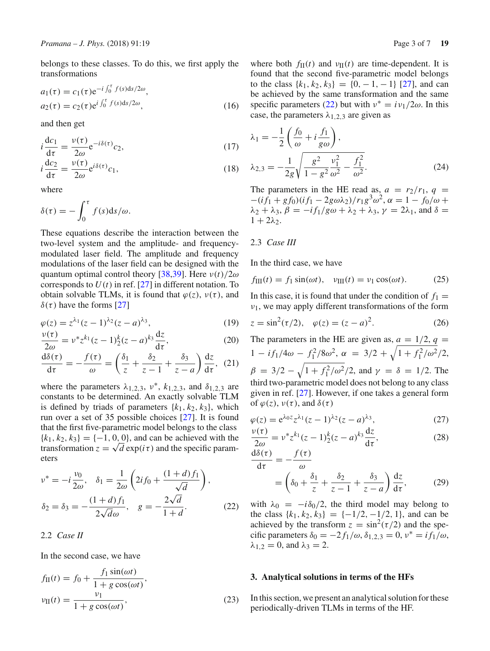belongs to these classes. To do this, we first apply the transformations

$$
a_1(\tau) = c_1(\tau) e^{-i \int_0^{\tau} f(s) ds / 2\omega},
$$
  
\n
$$
a_2(\tau) = c_2(\tau) e^{i \int_0^{\tau} f(s) ds / 2\omega},
$$
\n(16)

and then get

$$
i\frac{\mathrm{d}c_1}{\mathrm{d}\tau} = \frac{v(\tau)}{2\omega} e^{-i\delta(\tau)} c_2,\tag{17}
$$

$$
i\frac{\mathrm{d}c_2}{\mathrm{d}\tau} = \frac{\nu(\tau)}{2\omega} \mathrm{e}^{i\delta(\tau)} c_1,\tag{18}
$$

where

$$
\delta(\tau) = -\int_0^{\tau} f(s) \mathrm{d}s/\omega.
$$

These equations describe the interaction between the two-level system and the amplitude- and frequencymodulated laser field. The amplitude and frequency modulations of the laser field can be designed with the quantum optimal control theory [\[38](#page-6-22)[,39\]](#page-6-23). Here  $v(t)/2\omega$ corresponds to  $U(t)$  in ref. [\[27\]](#page-6-16) in different notation. To obtain solvable TLMs, it is found that  $\varphi(z)$ ,  $\nu(\tau)$ , and  $\delta(\tau)$  have the forms [\[27\]](#page-6-16)

$$
\varphi(z) = z^{\lambda_1} (z - 1)^{\lambda_2} (z - a)^{\lambda_3},
$$
\n(19)

$$
\frac{\nu(\tau)}{2\omega} = \nu^* z^{k_1} (z - 1)_2^k (z - a)^{k_3} \frac{dz}{d\tau},\tag{20}
$$

$$
\frac{d\delta(\tau)}{d\tau} = -\frac{f(\tau)}{\omega} = \left(\frac{\delta_1}{z} + \frac{\delta_2}{z - 1} + \frac{\delta_3}{z - a}\right)\frac{dz}{d\tau}, \tag{21}
$$

where the parameters  $\lambda_{1,2,3}$ ,  $v^*$ ,  $k_{1,2,3}$ , and  $\delta_{1,2,3}$  are constants to be determined. An exactly solvable TLM is defined by triads of parameters  $\{k_1, k_2, k_3\}$ , which run over a set of 35 possible choices [\[27](#page-6-16)]. It is found that the first five-parametric model belongs to the class  ${k_1, k_2, k_3} = \{-1, 0, 0\}$ , and can be achieved with the transformation  $z = \sqrt{d} \exp(i\tau)$  and the specific parameters

<span id="page-2-0"></span>
$$
\nu^* = -i\frac{\nu_0}{2\omega}, \quad \delta_1 = \frac{1}{2\omega} \left( 2if_0 + \frac{(1+d)f_1}{\sqrt{d}} \right),
$$
  

$$
\delta_2 = \delta_3 = -\frac{(1+d)f_1}{2\sqrt{d}\omega}, \quad g = -\frac{2\sqrt{d}}{1+d}.
$$
 (22)

2.2 *Case II*

In the second case, we have

$$
f_{\text{II}}(t) = f_0 + \frac{f_1 \sin(\omega t)}{1 + g \cos(\omega t)},
$$
  

$$
v_{\text{II}}(t) = \frac{v_1}{1 + g \cos(\omega t)},
$$
 (23)

where both  $f_{\text{II}}(t)$  and  $v_{\text{II}}(t)$  are time-dependent. It is found that the second five-parametric model belongs to the class  $\{k_1, k_2, k_3\} = \{0, -1, -1\}$  [\[27\]](#page-6-16), and can be achieved by the same transformation and the same specific parameters [\(22\)](#page-2-0) but with  $v^* = iv_1/2\omega$ . In this case, the parameters  $\lambda_{1,2,3}$  are given as

$$
\lambda_1 = -\frac{1}{2} \left( \frac{f_0}{\omega} + i \frac{f_1}{g \omega} \right),
$$
  

$$
\lambda_{2,3} = -\frac{1}{2g} \sqrt{\frac{g^2}{1 - g^2} \frac{v_1^2}{\omega^2} - \frac{f_1^2}{\omega^2}}.
$$
 (24)

The parameters in the HE read as,  $a = r_2/r_1$ ,  $q =$  $-(i f_1 + g f_0)(i f_1 - 2 g \omega \lambda_2)/r_1 g^3 \omega^2$ ,  $\alpha = 1 - f_0/\omega +$  $\lambda_2 + \lambda_3$ ,  $\beta = -if_1/g\omega + \lambda_2 + \lambda_3$ ,  $\gamma = 2\lambda_1$ , and  $\delta =$  $1 + 2\lambda$ 

#### 2.3 *Case III*

In the third case, we have

$$
f_{\rm III}(t) = f_1 \sin(\omega t), \quad v_{\rm III}(t) = v_1 \cos(\omega t). \tag{25}
$$

In this case, it is found that under the condition of  $f_1 =$  $v_1$ , we may apply different transformations of the form

$$
z = \sin^2(\tau/2), \quad \varphi(z) = (z - a)^2.
$$
 (26)

The parameters in the HE are given as,  $a = 1/2$ ,  $q =$  $1 - i f_1 / 4\omega - f_1^2 / 8\omega^2$ ,  $\alpha = 3/2 + \sqrt{1 + f_1^2 / \omega^2} / 2$ ,  $β = 3/2 - \sqrt{1 + f_1^2/ω^2/2}$ , and  $γ = δ = 1/2$ . The third two-parametric model does not belong to any class given in ref. [\[27\]](#page-6-16). However, if one takes a general form of  $\varphi(z)$ ,  $\nu(\tau)$ , and  $\delta(\tau)$ 

$$
\varphi(z) = e^{\lambda_0 z} z^{\lambda_1} (z - 1)^{\lambda_2} (z - a)^{\lambda_3},\tag{27}
$$

$$
\frac{\nu(\tau)}{2\omega} = \nu^* z^{k_1} (z - 1) \frac{k}{2} (z - a)^{k_3} \frac{dz}{d\tau},
$$
 (28)

$$
\frac{d\delta(\tau)}{d\tau} = -\frac{f(\tau)}{\omega}
$$
  
=  $\left(\delta_0 + \frac{\delta_1}{z} + \frac{\delta_2}{z - 1} + \frac{\delta_3}{z - a}\right) \frac{dz}{d\tau}$ , (29)

with  $\lambda_0 = -i\delta_0/2$ , the third model may belong to the class  $\{k_1, k_2, k_3\} = \{-1/2, -1/2, 1\}$ , and can be achieved by the transform  $z = \sin^2(\tau/2)$  and the specific parameters  $\delta_0 = -2 f_1/\omega$ ,  $\delta_{1,2,3} = 0$ ,  $v^* = i f_1/\omega$ ,  $\lambda_{1,2} = 0$ , and  $\lambda_3 = 2$ .

#### **3. Analytical solutions in terms of the HFs**

In this section, we present an analytical solution for these periodically-driven TLMs in terms of the HF.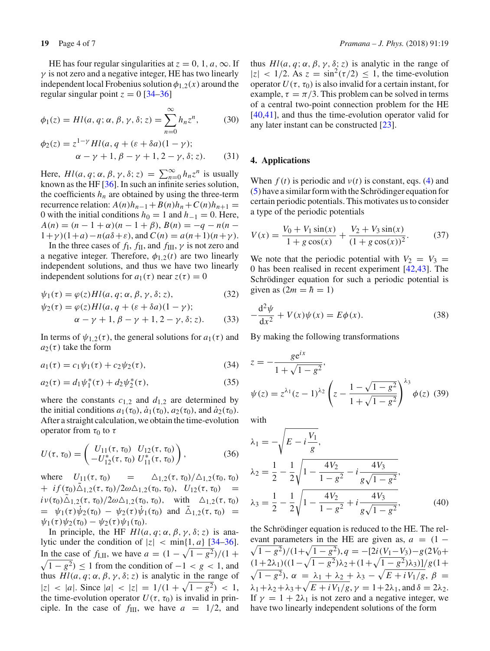HE has four regular singularities at  $z = 0, 1, a, \infty$ . If  $\gamma$  is not zero and a negative integer, HE has two linearly independent local Frobenius solution  $\phi_{1,2}(x)$  around the regular singular point  $z = 0$  [\[34](#page-6-19)[–36](#page-6-20)]

$$
\phi_1(z) = Hl(a, q; \alpha, \beta, \gamma, \delta; z) = \sum_{n=0}^{\infty} h_n z^n, \quad (30)
$$

$$
\phi_2(z) = z^{1-\gamma} H l(a, q + (\varepsilon + \delta a)(1 - \gamma); \n\alpha - \gamma + 1, \beta - \gamma + 1, 2 - \gamma, \delta; z).
$$
\n(31)

Here,  $Hl(a, q; \alpha, \beta, \gamma, \delta; z) = \sum_{n=0}^{\infty} h_n z^n$  is usually known as the HF [\[36](#page-6-20)]. In such an infinite series solution, the coefficients  $h_n$  are obtained by using the three-term recurrence relation:  $A(n)h_{n-1} + B(n)h_n + C(n)h_{n+1} =$ 0 with the initial conditions  $h_0 = 1$  and  $h_{-1} = 0$ . Here,  $A(n) = (n - 1 + \alpha)(n - 1 + \beta), B(n) = -q - n(n - 1)$  $1+\gamma$ ) $(1+a) - n(a\delta+\varepsilon)$ , and  $C(n) = a(n+1)(n+\gamma)$ .

In the three cases of  $f_I$ ,  $f_{II}$ , and  $f_{III}$ ,  $\gamma$  is not zero and a negative integer. Therefore,  $\phi_{1,2}(t)$  are two linearly independent solutions, and thus we have two linearly independent solutions for  $a_1(\tau)$  near  $z(\tau) = 0$ 

$$
\psi_1(\tau) = \varphi(z) H l(a, q; \alpha, \beta, \gamma, \delta; z), \tag{32}
$$

$$
\psi_2(\tau) = \varphi(z) H l(a, q + (\varepsilon + \delta a)(1 - \gamma);
$$
  
\n
$$
\alpha - \gamma + 1, \beta - \gamma + 1, 2 - \gamma, \delta; z).
$$
 (33)

In terms of  $\psi_{1,2}(\tau)$ , the general solutions for  $a_1(\tau)$  and  $a_2(\tau)$  take the form

$$
a_1(\tau) = c_1 \psi_1(\tau) + c_2 \psi_2(\tau), \tag{34}
$$

$$
a_2(\tau) = d_1 \psi_1^*(\tau) + d_2 \psi_2^*(\tau), \tag{35}
$$

where the constants  $c_{1,2}$  and  $d_{1,2}$  are determined by the initial conditions  $a_1(\tau_0)$ ,  $\dot{a}_1(\tau_0)$ ,  $a_2(\tau_0)$ , and  $\dot{a}_2(\tau_0)$ . After a straight calculation, we obtain the time-evolution operator from  $τ_0$  to  $τ$ 

$$
U(\tau, \tau_0) = \begin{pmatrix} U_{11}(\tau, \tau_0) & U_{12}(\tau, \tau_0) \\ -U_{12}^*(\tau, \tau_0) & U_{11}^*(\tau, \tau_0) \end{pmatrix}, \tag{36}
$$

where  $U_{11}(\tau, \tau_0)$  =  $\Delta_{1,2}(\tau, \tau_0)/\Delta_{1,2}(\tau_0, \tau_0)$  $+ i f(\tau_0) \tilde{\Delta}_{1,2}(\tau, \tau_0) / 2\omega \Delta_{1,2}(\tau_0, \tau_0), U_{12}(\tau, \tau_0) =$  $i\,\nu(\tau_0)\Delta_{1,2}(\tau,\tau_0)/2\omega\Delta_{1,2}(\tau_0,\tau_0)$ , with  $\Delta_{1,2}(\tau,\tau_0)$  $= \psi_1(\tau) \dot{\psi}_2(\tau_0) - \psi_2(\tau) \dot{\psi}_1(\tau_0)$  and  $\tilde{\Delta}_{1,2}(\tau, \tau_0) =$  $\psi_1(\tau) \psi_2(\tau_0) - \psi_2(\tau) \psi_1(\tau_0).$ 

In principle, the HF  $Hl(a, q; \alpha, \beta, \gamma, \delta; z)$  is analytic under the condition of  $|z| < \min\{1, a\}$  [\[34](#page-6-19)[–36](#page-6-20)]. In the case of *f*<sub>I,II</sub>, we have  $a = (1 - \sqrt{1 - g^2})/(1 +$  $\sqrt{1 - g^2} \le 1$  from the condition of  $-1 < g < 1$ , and thus  $Hl(a, q; \alpha, \beta, \gamma, \delta; z)$  is analytic in the range of  $|z|$  < |*a*|. Since  $|a|$  <  $|z|$  = 1/(1 +  $\sqrt{1 - g^2}$ ) < 1, the time-evolution operator  $U(\tau, \tau_0)$  is invalid in principle. In the case of  $f_{III}$ , we have  $a = 1/2$ , and thus  $Hl(a, q; \alpha, \beta, \gamma, \delta; z)$  is analytic in the range of  $|z|$  < 1/2. As  $z = \sin^2(\tau/2) \le 1$ , the time-evolution operator  $U(\tau, \tau_0)$  is also invalid for a certain instant, for example,  $\tau = \pi/3$ . This problem can be solved in terms of a central two-point connection problem for the HE [\[40](#page-6-24)[,41\]](#page-6-25), and thus the time-evolution operator valid for any later instant can be constructed [\[23](#page-6-13)].

# **4. Applications**

When  $f(t)$  is periodic and  $v(t)$  is constant, eqs. [\(4\)](#page-1-0) and [\(5\)](#page-1-0) have a similar form with the Schrödinger equation for certain periodic potentials. This motivates us to consider a type of the periodic potentials

<span id="page-3-0"></span>
$$
V(x) = \frac{V_0 + V_1 \sin(x)}{1 + g \cos(x)} + \frac{V_2 + V_3 \sin(x)}{(1 + g \cos(x))^2}.
$$
 (37)

We note that the periodic potential with  $V_2 = V_3$ 0 has been realised in recent experiment [\[42](#page-6-26)[,43](#page-6-27)]. The Schrödinger equation for such a periodic potential is given as  $(2m = \hbar = 1)$ 

$$
-\frac{d^2\psi}{dx^2} + V(x)\psi(x) = E\phi(x).
$$
 (38)

By making the following transformations

$$
z = -\frac{ge^{ix}}{1 + \sqrt{1 - g^2}},
$$
  

$$
\psi(z) = z^{\lambda_1}(z - 1)^{\lambda_2} \left(z - \frac{1 - \sqrt{1 - g^2}}{1 + \sqrt{1 - g^2}}\right)^{\lambda_3} \phi(z)
$$
(39)

with

$$
\lambda_1 = -\sqrt{E - i\frac{V_1}{g}},
$$
\n
$$
\lambda_2 = \frac{1}{2} - \frac{1}{2}\sqrt{1 - \frac{4V_2}{1 - g^2} - i\frac{4V_3}{g\sqrt{1 - g^2}}},
$$
\n
$$
\lambda_3 = \frac{1}{2} - \frac{1}{2}\sqrt{1 - \frac{4V_2}{1 - g^2} + i\frac{4V_3}{g\sqrt{1 - g^2}}},
$$
\n(40)

the Schrödinger equation is reduced to the HE. The rel-  $\sqrt{1 - g^2}/(1 + \sqrt{1 - g^2}), q = -[2i(\frac{V_1 - V_3}{9}) - g(2V_0 +$ evant parameters in the HE are given as,  $a = (1 \frac{(1+2\lambda_1)((1-\sqrt{1-g^2})\lambda_2+(1+\sqrt{1-g^2})\lambda_3)]}{g(1+\lambda_1+\lambda_2+\lambda_3)}$  $\sqrt{1 - g^2}$ ), α =  $\lambda_1 + \lambda_2 + \lambda_3 - \sqrt{E + iV_1/g}$ , β =  $\lambda_1 + \lambda_2 + \lambda_3 + \sqrt{E + i V_1/g}$ ,  $\gamma = 1 + 2\lambda_1$ , and  $\delta = 2\lambda_2$ . If  $\gamma = 1 + 2\lambda_1$  is not zero and a negative integer, we have two linearly independent solutions of the form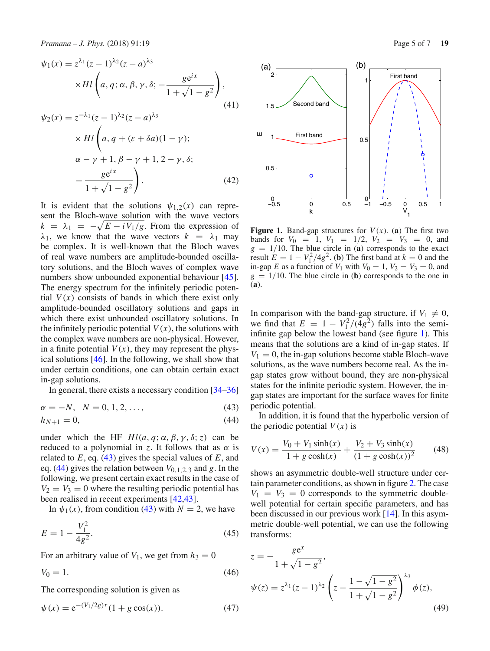$$
\psi_1(x) = z^{\lambda_1} (z - 1)^{\lambda_2} (z - a)^{\lambda_3}
$$
  
\n
$$
\times Hl \left( a, q; \alpha, \beta, \gamma, \delta; -\frac{ge^{i x}}{1 + \sqrt{1 - g^2}} \right),
$$
  
\n
$$
\psi_2(x) = z^{-\lambda_1} (z - 1)^{\lambda_2} (z - a)^{\lambda_3}
$$
  
\n
$$
\times Hl \left( a, q + (\varepsilon + \delta a)(1 - \gamma);
$$
  
\n
$$
\alpha - \gamma + 1, \beta - \gamma + 1, 2 - \gamma, \delta; -\frac{ge^{i x}}{1 + \sqrt{1 - g^2}} \right).
$$
\n(42)

It is evident that the solutions  $\psi_{1,2}(x)$  can represent the Bloch-wave solution with the wave vectors  $k = \lambda_1 = -\sqrt{E - i V_1/g}$ . From the expression of  $\lambda_1$ , we know that the wave vectors  $k = \lambda_1$  may be complex. It is well-known that the Bloch waves of real wave numbers are amplitude-bounded oscillatory solutions, and the Bloch waves of complex wave numbers show unbounded exponential behaviour [\[45](#page-6-28)]. The energy spectrum for the infinitely periodic potential  $V(x)$  consists of bands in which there exist only amplitude-bounded oscillatory solutions and gaps in which there exist unbounded oscillatory solutions. In the infinitely periodic potential  $V(x)$ , the solutions with the complex wave numbers are non-physical. However, in a finite potential  $V(x)$ , they may represent the physical solutions [\[46\]](#page-6-29). In the following, we shall show that under certain conditions, one can obtain certain exact in-gap solutions.

In general, there exists a necessary condition [\[34](#page-6-19)[–36\]](#page-6-20)

<span id="page-4-0"></span>
$$
\alpha = -N, \ \ N = 0, 1, 2, \dots,
$$
\n(43)

$$
h_{N+1} = 0,\t\t(44)
$$

under which the HF  $Hl(a, q; \alpha, \beta, \gamma, \delta; z)$  can be reduced to a polynomial in *z*. It follows that as  $\alpha$  is related to *E*, eq. [\(43\)](#page-4-0) gives the special values of *E*, and eq. [\(44\)](#page-4-0) gives the relation between *V*0,1,2,<sup>3</sup> and *g*. In the following, we present certain exact results in the case of  $V_2 = V_3 = 0$  where the resulting periodic potential has been realised in recent experiments [\[42](#page-6-26)[,43\]](#page-6-27).

In  $\psi_1(x)$ , from condition [\(43\)](#page-4-0) with  $N = 2$ , we have

$$
E = 1 - \frac{V_1^2}{4g^2}.
$$
\n(45)

For an arbitrary value of  $V_1$ , we get from  $h_3 = 0$ 

$$
V_0 = 1.\t\t(46)
$$

The corresponding solution is given as

$$
\psi(x) = e^{-(V_1/2g)x} (1 + g \cos(x)).
$$
\n(47)



<span id="page-4-1"></span>**Figure 1.** Band-gap structures for  $V(x)$ . (a) The first two bands for  $V_0 = 1$ ,  $V_1 = 1/2$ ,  $V_2 = V_3 = 0$ , and  $g = 1/10$ . The blue circle in (**a**) corresponds to the exact result  $E = 1 - V_1^2 / 4g^2$ . (**b**) The first band at  $k = 0$  and the in-gap *E* as a function of  $V_1$  with  $V_0 = 1$ ,  $V_2 = V_3 = 0$ , and  $g = 1/10$ . The blue circle in (**b**) corresponds to the one in (**a**).

In comparison with the band-gap structure, if  $V_1 \neq 0$ , we find that  $E = 1 - V_1^2/(4g^2)$  falls into the semiinfinite gap below the lowest band (see figure [1\)](#page-4-1). This means that the solutions are a kind of in-gap states. If  $V_1 = 0$ , the in-gap solutions become stable Bloch-wave solutions, as the wave numbers become real. As the ingap states grow without bound, they are non-physical states for the infinite periodic system. However, the ingap states are important for the surface waves for finite periodic potential.

<span id="page-4-2"></span>In addition, it is found that the hyperbolic version of the periodic potential  $V(x)$  is

$$
V(x) = \frac{V_0 + V_1 \sinh(x)}{1 + g \cosh(x)} + \frac{V_2 + V_3 \sinh(x)}{(1 + g \cosh(x))^2}
$$
(48)

shows an asymmetric double-well structure under certain parameter conditions, as shown in figure [2.](#page-5-0) The case  $V_1 = V_3 = 0$  corresponds to the symmetric doublewell potential for certain specific parameters, and has been discussed in our previous work [\[14\]](#page-6-30). In this asymmetric double-well potential, we can use the following transforms:

$$
z = -\frac{g e^{x}}{1 + \sqrt{1 - g^{2}}},
$$
  
\n
$$
\psi(z) = z^{\lambda_{1}} (z - 1)^{\lambda_{2}} \left( z - \frac{1 - \sqrt{1 - g^{2}}}{1 + \sqrt{1 - g^{2}}} \right)^{\lambda_{3}} \phi(z),
$$
\n(49)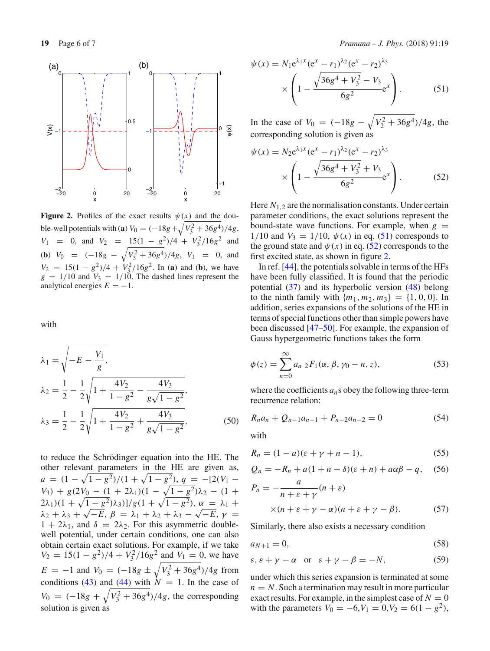

<span id="page-5-0"></span>**Figure 2.** Profiles of the exact results  $\psi(x)$  and the double-well potentials with (**a**)  $V_0 = (-18g + \sqrt{V_3^2 + 36g^4})/4g$ , *V*<sub>1</sub> = 0, and *V*<sub>2</sub> =  $\frac{15(1 - g^2)}{4} + \frac{V_3^2}{16g^2}$  and **(b)**  $V_0 = (-18g - \sqrt{V_3^2 + 36g^4})/4g$ ,  $V_1 = 0$ , and  $V_2 = 15(1 - g^2)/4 + V_3^2/16g^2$ . In (**a**) and (**b**), we have  $g = 1/10$  and  $V_3 = 1/10$ . The dashed lines represent the analytical energies  $E = -1$ .

with

$$
\lambda_1 = \sqrt{-E - \frac{V_1}{g}},
$$
\n
$$
\lambda_2 = \frac{1}{2} - \frac{1}{2} \sqrt{1 + \frac{4V_2}{1 - g^2} - \frac{4V_3}{g\sqrt{1 - g^2}}},
$$
\n
$$
\lambda_3 = \frac{1}{2} - \frac{1}{2} \sqrt{1 + \frac{4V_2}{1 - g^2} + \frac{4V_3}{g\sqrt{1 - g^2}}},
$$
\n(50)

to reduce the Schrödinger equation into the HE. The other relevant parameters in the HE are given as,  $a = (1 - \sqrt{1 - g^2})/(1 + \sqrt{1 - g^2}), q = -[2(V_1 V_3$ ) + *g*(2 $V_0$  – (1 + 2 $\lambda$ <sub>1</sub>)(1 –  $\sqrt{1-g^2}$ ) $\lambda$ <sub>2</sub> – (1 +  $(2λ<sub>1</sub>)(1 + √1 - g<sup>2</sup>)λ<sub>3</sub>)]/g(1 + √1 - g<sup>2</sup>), α = λ<sub>1</sub> +$  $λ_2 + λ_3 + √−E$ ,  $β = λ_1 + λ_2 + λ_3 - √−E$ ,  $γ =$  $1 + 2\lambda_1$ , and  $\delta = 2\lambda_2$ . For this asymmetric doublewell potential, under certain conditions, one can also obtain certain exact solutions. For example, if we take  $V_2 = 15(1 - g^2)/4 + V_3^2/16g^2$  and  $V_1 = 0$ , we have  $E = -1$  and  $V_0 = (-18g \pm \sqrt{V_3^2 + 36g^4})/4g$  from conditions [\(43\)](#page-4-0) and  $(44)$  with  $N = 1$ . In the case of  $V_0 = (-18g + \sqrt{V_3^2 + 36g^4})/4g$ , the corresponding solution is given as

<span id="page-5-1"></span>
$$
\psi(x) = N_1 e^{\lambda_1 x} (e^x - r_1)^{\lambda_2} (e^x - r_2)^{\lambda_3}
$$

$$
\times \left(1 - \frac{\sqrt{36g^4 + V_3^2} - V_3}{6g^2} e^x\right). \tag{51}
$$

In the case of  $V_0 = (-18g - \sqrt{V_2^2 + 36g^4})/4g$ , the corresponding solution is given as

<span id="page-5-2"></span>
$$
\psi(x) = N_2 e^{\lambda_1 x} (e^x - r_1)^{\lambda_2} (e^x - r_2)^{\lambda_3}
$$

$$
\times \left(1 - \frac{\sqrt{36g^4 + V_3^2} + V_3}{6g^2} e^x\right). \tag{52}
$$

Here  $N_{1,2}$  are the normalisation constants. Under certain parameter conditions, the exact solutions represent the bound-state wave functions. For example, when  $g =$ 1/10 and  $V_3 = 1/10$ ,  $\psi(x)$  in eq. [\(51\)](#page-5-1) corresponds to the ground state and  $\psi(x)$  in eq. [\(52\)](#page-5-2) corresponds to the first excited state, as shown in figure [2.](#page-5-0)

In ref. [\[44](#page-6-31)], the potentials solvable in terms of the HFs have been fully classified. It is found that the periodic potential [\(37\)](#page-3-0) and its hyperbolic version [\(48\)](#page-4-2) belong to the ninth family with  $\{m_1, m_2, m_3\} = \{1, 0, 0\}$ . In addition, series expansions of the solutions of the HE in terms of special functions other than simple powers have been discussed [\[47](#page-6-32)[–50\]](#page-6-33). For example, the expansion of Gauss hypergeometric functions takes the form

$$
\phi(z) = \sum_{n=0}^{\infty} a_{n} {}_{2}F_{1}(\alpha, \beta, \gamma_{0} - n, z), \qquad (53)
$$

where the coefficients  $a_n$ s obey the following three-term recurrence relation:

$$
R_n a_n + Q_{n-1} a_{n-1} + P_{n-2} a_{n-2} = 0 \tag{54}
$$

with

$$
R_n = (1 - a)(\varepsilon + \gamma + n - 1),\tag{55}
$$

$$
Q_n = -R_n + a(1 + n - \delta)(\varepsilon + n) + a\alpha\beta - q,\quad(56)
$$

$$
P_n = -\frac{a}{n + \varepsilon + \gamma}(n + \varepsilon)
$$
  
× $(n + \varepsilon + \gamma - \alpha)(n + \varepsilon + \gamma - \beta).$  (57)

Similarly, there also exists a necessary condition

$$
a_{N+1} = 0,\t\t(58)
$$

$$
\varepsilon, \varepsilon + \gamma - \alpha \quad \text{or} \quad \varepsilon + \gamma - \beta = -N,\tag{59}
$$

under which this series expansion is terminated at some  $n = N$ . Such a termination may result in more particular exact results. For example, in the simplest case of  $N = 0$ with the parameters  $V_0 = -6, V_1 = 0, V_2 = 6(1 - g^2)$ ,